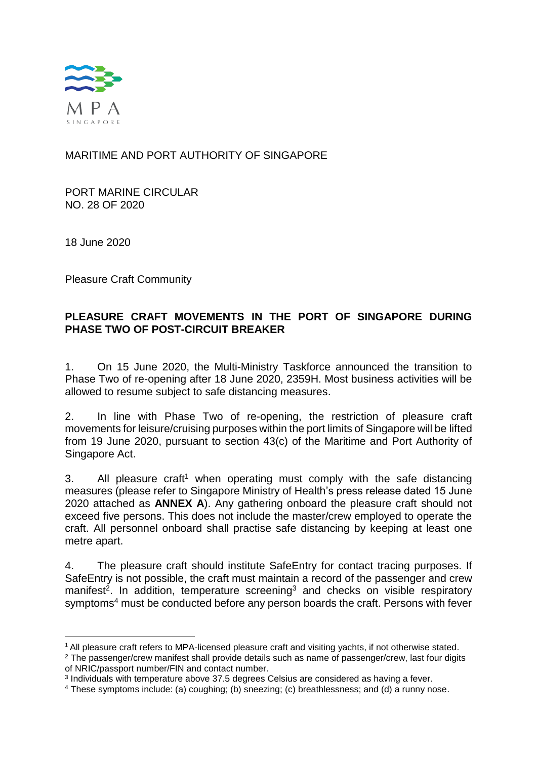

# MARITIME AND PORT AUTHORITY OF SINGAPORE

PORT MARINE CIRCULAR NO. 28 OF 2020

18 June 2020

Pleasure Craft Community

# **PLEASURE CRAFT MOVEMENTS IN THE PORT OF SINGAPORE DURING PHASE TWO OF POST-CIRCUIT BREAKER**

1. On 15 June 2020, the Multi-Ministry Taskforce announced the transition to Phase Two of re-opening after 18 June 2020, 2359H. Most business activities will be allowed to resume subject to safe distancing measures.

2. In line with Phase Two of re-opening, the restriction of pleasure craft movements for leisure/cruising purposes within the port limits of Singapore will be lifted from 19 June 2020, pursuant to section 43(c) of the Maritime and Port Authority of Singapore Act.

3. All pleasure craft<sup>1</sup> when operating must comply with the safe distancing measures (please refer to Singapore Ministry of Health's press release dated 15 June 2020 attached as **ANNEX A**). Any gathering onboard the pleasure craft should not exceed five persons. This does not include the master/crew employed to operate the craft. All personnel onboard shall practise safe distancing by keeping at least one metre apart.

4. The pleasure craft should institute SafeEntry for contact tracing purposes. If SafeEntry is not possible, the craft must maintain a record of the passenger and crew manifest<sup>2</sup>. In addition, temperature screening<sup>3</sup> and checks on visible respiratory symptoms<sup>4</sup> must be conducted before any person boards the craft. Persons with fever

 $\overline{\phantom{a}}$ <sup>1</sup> All pleasure craft refers to MPA-licensed pleasure craft and visiting yachts, if not otherwise stated.

<sup>&</sup>lt;sup>2</sup> The passenger/crew manifest shall provide details such as name of passenger/crew, last four digits of NRIC/passport number/FIN and contact number.

<sup>3</sup> Individuals with temperature above 37.5 degrees Celsius are considered as having a fever.

<sup>4</sup> These symptoms include: (a) coughing; (b) sneezing; (c) breathlessness; and (d) a runny nose.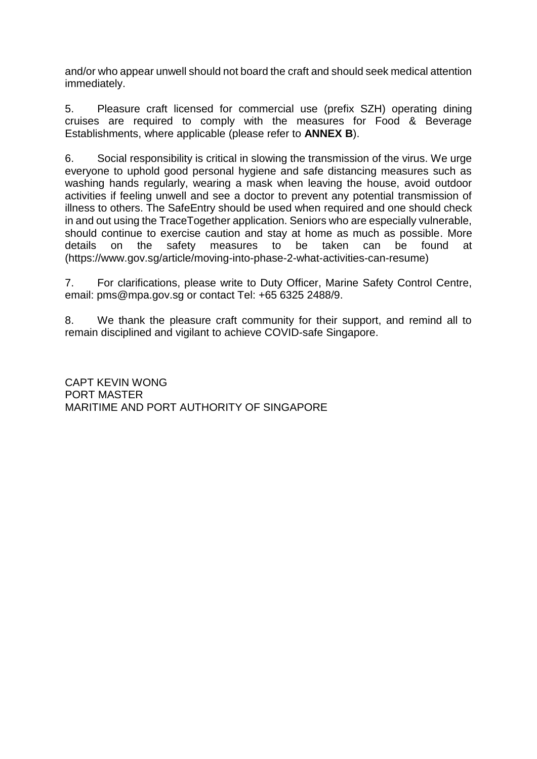and/or who appear unwell should not board the craft and should seek medical attention immediately.

5. Pleasure craft licensed for commercial use (prefix SZH) operating dining cruises are required to comply with the measures for Food & Beverage Establishments, where applicable (please refer to **ANNEX B**).

6. Social responsibility is critical in slowing the transmission of the virus. We urge everyone to uphold good personal hygiene and safe distancing measures such as washing hands regularly, wearing a mask when leaving the house, avoid outdoor activities if feeling unwell and see a doctor to prevent any potential transmission of illness to others. The SafeEntry should be used when required and one should check in and out using the TraceTogether application. Seniors who are especially vulnerable, should continue to exercise caution and stay at home as much as possible. More details on the safety measures to be taken can be found at (https://www.gov.sg/article/moving-into-phase-2-what-activities-can-resume)

7. For clarifications, please write to Duty Officer, Marine Safety Control Centre, email: pms@mpa.gov.sg or contact Tel: +65 6325 2488/9.

8. We thank the pleasure craft community for their support, and remind all to remain disciplined and vigilant to achieve COVID-safe Singapore.

CAPT KEVIN WONG PORT MASTER MARITIME AND PORT AUTHORITY OF SINGAPORE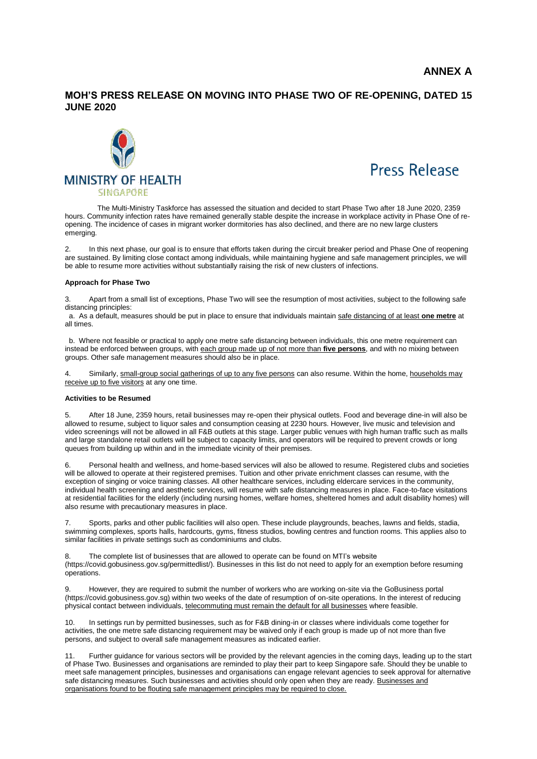#### **MOH'S PRESS RELEASE ON MOVING INTO PHASE TWO OF RE-OPENING, DATED 15 JUNE 2020**





The Multi-Ministry Taskforce has assessed the situation and decided to start Phase Two after 18 June 2020, 2359 hours. Community infection rates have remained generally stable despite the increase in workplace activity in Phase One of reopening. The incidence of cases in migrant worker dormitories has also declined, and there are no new large clusters emerging.

2. In this next phase, our goal is to ensure that efforts taken during the circuit breaker period and Phase One of reopening are sustained. By limiting close contact among individuals, while maintaining hygiene and safe management principles, we will be able to resume more activities without substantially raising the risk of new clusters of infections.

#### **Approach for Phase Two**

3. Apart from a small list of exceptions, Phase Two will see the resumption of most activities, subject to the following safe distancing principles:

a. As a default, measures should be put in place to ensure that individuals maintain safe distancing of at least **one metre** at all times.

b. Where not feasible or practical to apply one metre safe distancing between individuals, this one metre requirement can instead be enforced between groups, with each group made up of not more than **five persons**, and with no mixing between groups. Other safe management measures should also be in place.

Similarly, small-group social gatherings of up to any five persons can also resume. Within the home, households may receive up to five visitors at any one time.

#### **Activities to be Resumed**

5. After 18 June, 2359 hours, retail businesses may re-open their physical outlets. Food and beverage dine-in will also be allowed to resume, subject to liquor sales and consumption ceasing at 2230 hours. However, live music and television and video screenings will not be allowed in all F&B outlets at this stage. Larger public venues with high human traffic such as malls and large standalone retail outlets will be subject to capacity limits, and operators will be required to prevent crowds or long queues from building up within and in the immediate vicinity of their premises.

Personal health and wellness, and home-based services will also be allowed to resume. Registered clubs and societies will be allowed to operate at their registered premises. Tuition and other private enrichment classes can resume, with the exception of singing or voice training classes. All other healthcare services, including eldercare services in the community, individual health screening and aesthetic services, will resume with safe distancing measures in place. Face-to-face visitations at residential facilities for the elderly (including nursing homes, welfare homes, sheltered homes and adult disability homes) will also resume with precautionary measures in place.

Sports, parks and other public facilities will also open. These include playgrounds, beaches, lawns and fields, stadia, swimming complexes, sports halls, hardcourts, gyms, fitness studios, bowling centres and function rooms. This applies also to similar facilities in private settings such as condominiums and clubs.

The complete list of businesses that are allowed to operate can be found on MTI's website (https://covid.gobusiness.gov.sg/permittedlist/). Businesses in this list do not need to apply for an exemption before resuming operations.

However, they are required to submit the number of workers who are working on-site via the GoBusiness portal (https://covid.gobusiness.gov.sg) within two weeks of the date of resumption of on-site operations. In the interest of reducing physical contact between individuals, telecommuting must remain the default for all businesses where feasible.

10. In settings run by permitted businesses, such as for F&B dining-in or classes where individuals come together for activities, the one metre safe distancing requirement may be waived only if each group is made up of not more than five persons, and subject to overall safe management measures as indicated earlier.

Further guidance for various sectors will be provided by the relevant agencies in the coming days, leading up to the start of Phase Two. Businesses and organisations are reminded to play their part to keep Singapore safe. Should they be unable to meet safe management principles, businesses and organisations can engage relevant agencies to seek approval for alternative safe distancing measures. Such businesses and activities should only open when they are ready. Businesses and organisations found to be flouting safe management principles may be required to close.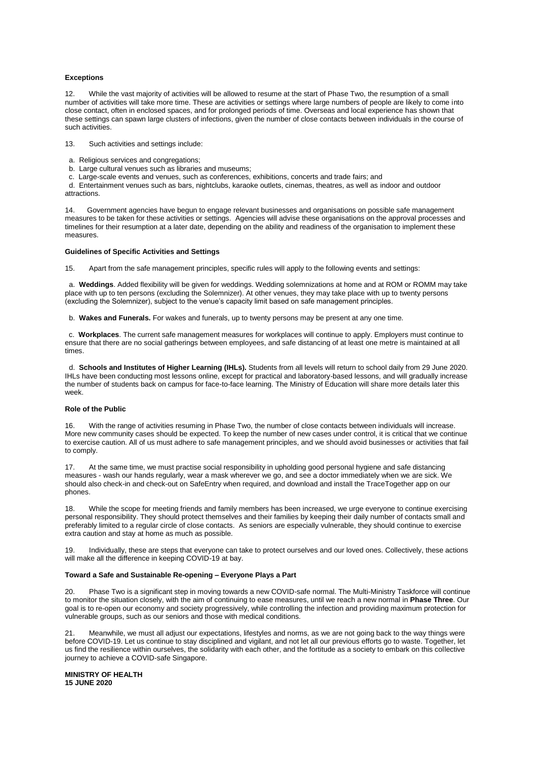#### **Exceptions**

12. While the vast majority of activities will be allowed to resume at the start of Phase Two, the resumption of a small number of activities will take more time. These are activities or settings where large numbers of people are likely to come into close contact, often in enclosed spaces, and for prolonged periods of time. Overseas and local experience has shown that these settings can spawn large clusters of infections, given the number of close contacts between individuals in the course of such activities.

13. Such activities and settings include:

- a. Religious services and congregations;
- b. Large cultural venues such as libraries and museums;
- c. Large-scale events and venues, such as conferences, exhibitions, concerts and trade fairs; and

d. Entertainment venues such as bars, nightclubs, karaoke outlets, cinemas, theatres, as well as indoor and outdoor attractions.

14. Government agencies have begun to engage relevant businesses and organisations on possible safe management measures to be taken for these activities or settings. Agencies will advise these organisations on the approval processes and timelines for their resumption at a later date, depending on the ability and readiness of the organisation to implement these measures.

#### **Guidelines of Specific Activities and Settings**

15. Apart from the safe management principles, specific rules will apply to the following events and settings:

a. **Weddings**. Added flexibility will be given for weddings. Wedding solemnizations at home and at ROM or ROMM may take place with up to ten persons (excluding the Solemnizer). At other venues, they may take place with up to twenty persons (excluding the Solemnizer), subject to the venue's capacity limit based on safe management principles.

b. **Wakes and Funerals.** For wakes and funerals, up to twenty persons may be present at any one time.

c. **Workplaces**. The current safe management measures for workplaces will continue to apply. Employers must continue to ensure that there are no social gatherings between employees, and safe distancing of at least one metre is maintained at all times.

d. **Schools and Institutes of Higher Learning (IHLs).** Students from all levels will return to school daily from 29 June 2020. IHLs have been conducting most lessons online, except for practical and laboratory-based lessons, and will gradually increase the number of students back on campus for face-to-face learning. The Ministry of Education will share more details later this week.

#### **Role of the Public**

16. With the range of activities resuming in Phase Two, the number of close contacts between individuals will increase. More new community cases should be expected. To keep the number of new cases under control, it is critical that we continue to exercise caution. All of us must adhere to safe management principles, and we should avoid businesses or activities that fail to comply.

17. At the same time, we must practise social responsibility in upholding good personal hygiene and safe distancing measures - wash our hands regularly, wear a mask wherever we go, and see a doctor immediately when we are sick. We should also check-in and check-out on SafeEntry when required, and download and install the TraceTogether app on our phones.

18. While the scope for meeting friends and family members has been increased, we urge everyone to continue exercising personal responsibility. They should protect themselves and their families by keeping their daily number of contacts small and preferably limited to a regular circle of close contacts. As seniors are especially vulnerable, they should continue to exercise extra caution and stay at home as much as possible.

19. Individually, these are steps that everyone can take to protect ourselves and our loved ones. Collectively, these actions will make all the difference in keeping COVID-19 at bay.

#### **Toward a Safe and Sustainable Re-opening – Everyone Plays a Part**

20. Phase Two is a significant step in moving towards a new COVID-safe normal. The Multi-Ministry Taskforce will continue to monitor the situation closely, with the aim of continuing to ease measures, until we reach a new normal in **Phase Three**. Our goal is to re-open our economy and society progressively, while controlling the infection and providing maximum protection for vulnerable groups, such as our seniors and those with medical conditions.

21. Meanwhile, we must all adjust our expectations, lifestyles and norms, as we are not going back to the way things were before COVID-19. Let us continue to stay disciplined and vigilant, and not let all our previous efforts go to waste. Together, let us find the resilience within ourselves, the solidarity with each other, and the fortitude as a society to embark on this collective journey to achieve a COVID-safe Singapore.

**MINISTRY OF HEALTH 15 JUNE 2020**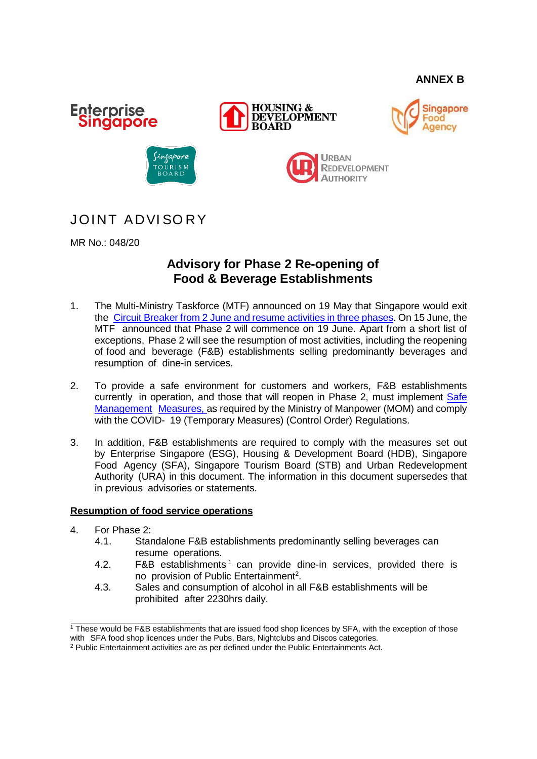# **ANNEX B**











# JOINT ADVISORY

MR No.: 048/20

# **Advisory for Phase 2 Re-opening of Food & Beverage Establishments**

- 1. The Multi-Ministry Taskforce (MTF) announced on 19 May that Singapore would exit the Circuit [Breaker](https://www.mti.gov.sg/-/media/MTI/Newsroom/Press-Releases/2020/05/MTI-Advisory-on-resumption-of-activities-from-2-June-2020.pdf) from 2 June and resume activities in three phases. On 15 June, the MTF announced that Phase 2 will commence on 19 June. Apart from a short list of exceptions, Phase 2 will see the resumption of most activities, including the reopening of food and beverage (F&B) establishments selling predominantly beverages and resumption of dine-in services.
- 2. To provide a safe environment for customers and workers, F&B establishments currently in operation, and those that will reopen in Phase 2, must implement [Safe](https://www.mom.gov.sg/covid-19/requirements-for-safe-management-measures) [Management](https://www.mom.gov.sg/covid-19/requirements-for-safe-management-measures) [Measures,](https://www.mom.gov.sg/covid-19/requirements-for-safe-management-measures) as required by the Ministry of Manpower (MOM) and comply with the COVID- 19 (Temporary Measures) (Control Order) Regulations.
- 3. In addition, F&B establishments are required to comply with the measures set out by Enterprise Singapore (ESG), Housing & Development Board (HDB), Singapore Food Agency (SFA), Singapore Tourism Board (STB) and Urban Redevelopment Authority (URA) in this document. The information in this document supersedes that in previous advisories or statements.

# **Resumption of food service operations**

- 4. For Phase 2:
	- 4.1. Standalone F&B establishments predominantly selling beverages can resume operations.
	- 4.2. F&B establishments  $1$  can provide dine-in services, provided there is no provision of Public Entertainment<sup>2</sup>.
	- 4.3. Sales and consumption of alcohol in all F&B establishments will be prohibited after 2230hrs daily.

 $1$  These would be F&B establishments that are issued food shop licences by SFA, with the exception of those with SFA food shop licences under the Pubs, Bars, Nightclubs and Discos categories.

<sup>&</sup>lt;sup>2</sup> Public Entertainment activities are as per defined under the Public Entertainments Act.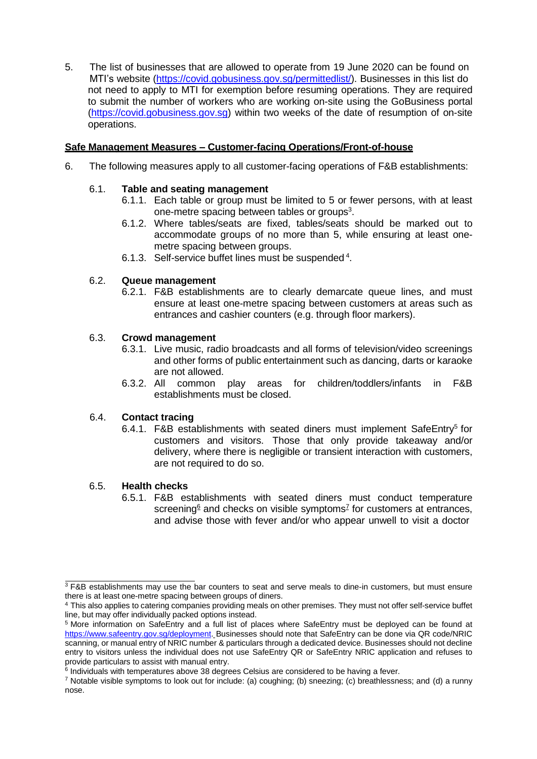5. The list of businesses that are allowed to operate from 19 June 2020 can be found on MTI's website [\(https://covid.gobusiness.gov.sg/permittedlist/\)](https://covid.gobusiness.gov.sg/permittedlist/). Businesses in this list do not need to apply to MTI for exemption before resuming operations. They are required to submit the number of workers who are working on-site using the GoBusiness portal [\(https://covid.gobusiness.gov.sg\)](https://covid.gobusiness.gov.sg/) within two weeks of the date of resumption of on-site operations.

# **Safe Management Measures – Customer-facing Operations/Front-of-house**

6. The following measures apply to all customer-facing operations of F&B establishments:

# 6.1. **Table and seating management**

- 6.1.1. Each table or group must be limited to 5 or fewer persons, with at least one-metre spacing between tables or groups<sup>3</sup>.
- 6.1.2. Where tables/seats are fixed, tables/seats should be marked out to accommodate groups of no more than 5, while ensuring at least onemetre spacing between groups.
- 6.1.3. Self-service buffet lines must be suspended<sup>4</sup>.

# 6.2. **Queue management**

6.2.1. F&B establishments are to clearly demarcate queue lines, and must ensure at least one-metre spacing between customers at areas such as entrances and cashier counters (e.g. through floor markers).

# 6.3. **Crowd management**

- 6.3.1. Live music, radio broadcasts and all forms of television/video screenings and other forms of public entertainment such as dancing, darts or karaoke are not allowed.
- 6.3.2. All common play areas for children/toddlers/infants in F&B establishments must be closed.

# 6.4. **Contact tracing**

6.4.1. F&B establishments with seated diners must implement SafeEntry<sup>5</sup> for customers and visitors. Those that only provide takeaway and/or delivery, where there is negligible or transient interaction with customers, are not required to do so.

### 6.5. **Health checks**

6.5.1. F&B establishments with seated diners must conduct temperature screening<sup>6</sup> and checks on visible symptoms<sup>7</sup> for customers at entrances, and advise those with fever and/or who appear unwell to visit a doctor

<sup>&</sup>lt;sup>3</sup> F&B establishments may use the bar counters to seat and serve meals to dine-in customers, but must ensure there is at least one-metre spacing between groups of diners.

<sup>4</sup> This also applies to catering companies providing meals on other premises. They must not offer self-service buffet line, but may offer individually packed options instead.

<sup>5</sup> More information on SafeEntry and a full list of places where SafeEntry must be deployed can be found at [https://www.safeentry.gov.sg/deployment.](https://www.safeentry.gov.sg/deployment) Businesses should note that SafeEntry can be done via QR code/NRIC scanning, or manual entry of NRIC number & particulars through a dedicated device. Businesses should not decline entry to visitors unless the individual does not use SafeEntry QR or SafeEntry NRIC application and refuses to provide particulars to assist with manual entry.

<sup>&</sup>lt;sup>6</sup> Individuals with temperatures above 38 degrees Celsius are considered to be having a fever.

<sup>7</sup> Notable visible symptoms to look out for include: (a) coughing; (b) sneezing; (c) breathlessness; and (d) a runny nose.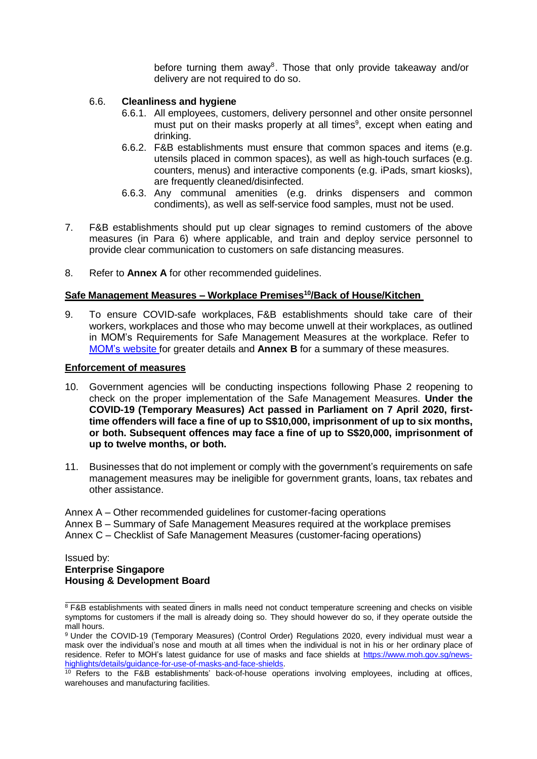before turning them away<sup>8</sup>. Those that only provide takeaway and/or delivery are not required to do so.

### 6.6. **Cleanliness and hygiene**

- 6.6.1. All employees, customers, delivery personnel and other onsite personnel must put on their masks properly at all times<sup>9</sup>, except when eating and drinking.
- 6.6.2. F&B establishments must ensure that common spaces and items (e.g. utensils placed in common spaces), as well as high-touch surfaces (e.g. counters, menus) and interactive components (e.g. iPads, smart kiosks), are frequently cleaned/disinfected.
- 6.6.3. Any communal amenities (e.g. drinks dispensers and common condiments), as well as self-service food samples, must not be used.
- 7. F&B establishments should put up clear signages to remind customers of the above measures (in Para 6) where applicable, and train and deploy service personnel to provide clear communication to customers on safe distancing measures.
- 8. Refer to **Annex A** for other recommended guidelines.

### **Safe Management Measures – Workplace Premises<sup>10</sup>/Back of House/Kitchen**

9. To ensure COVID-safe workplaces, F&B establishments should take care of their workers, workplaces and those who may become unwell at their workplaces, as outlined in MOM's Requirements for Safe Management Measures at the workplace. Refer to MOM's [website](https://www.mom.gov.sg/covid-19/requirements-for-safe-management-measures) for greater details and **Annex B** for a summary of these measures.

#### **Enforcement of measures**

- 10. Government agencies will be conducting inspections following Phase 2 reopening to check on the proper implementation of the Safe Management Measures. **Under the COVID-19 (Temporary Measures) Act passed in Parliament on 7 April 2020, firsttime offenders will face a fine of up to S\$10,000, imprisonment of up to six months, or both. Subsequent offences may face a fine of up to S\$20,000, imprisonment of up to twelve months, or both.**
- 11. Businesses that do not implement or comply with the government's requirements on safe management measures may be ineligible for government grants, loans, tax rebates and other assistance.

Annex A – Other recommended guidelines for customer-facing operations

Annex B – Summary of Safe Management Measures required at the workplace premises

Annex C – Checklist of Safe Management Measures (customer-facing operations)

Issued by: **Enterprise Singapore Housing & Development Board**

<sup>&</sup>lt;sup>8</sup> F&B establishments with seated diners in malls need not conduct temperature screening and checks on visible symptoms for customers if the mall is already doing so. They should however do so, if they operate outside the mall hours.

<sup>9</sup> Under the COVID-19 (Temporary Measures) (Control Order) Regulations 2020, every individual must wear a mask over the individual's nose and mouth at all times when the individual is not in his or her ordinary place of residence. Refer to MOH's latest guidance for use of masks and face shields at [https://www.moh.gov.sg/news](https://www.moh.gov.sg/news-highlights/details/guidance-for-use-of-masks-and-face-shields)[highlights/details/guidance-for-use-of-masks-and-face-shields.](https://www.moh.gov.sg/news-highlights/details/guidance-for-use-of-masks-and-face-shields)

<sup>&</sup>lt;sup>10</sup> Refers to the F&B establishments' back-of-house operations involving employees, including at offices, warehouses and manufacturing facilities.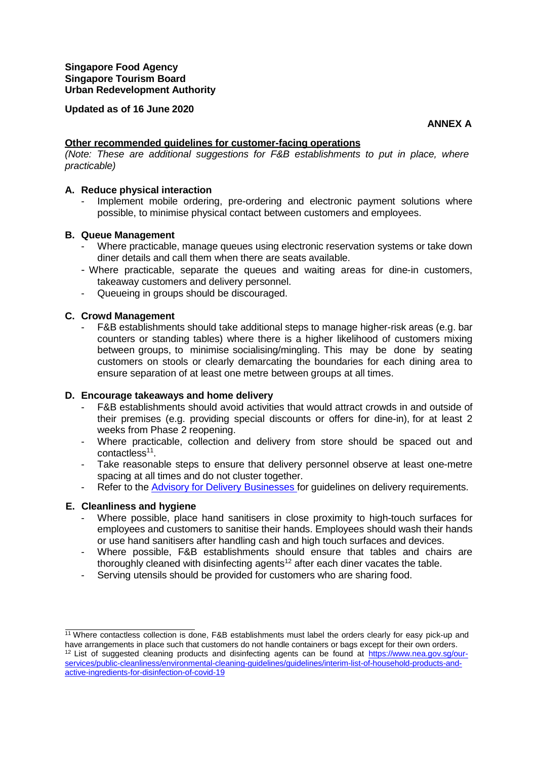#### **Updated as of 16 June 2020**

**ANNEX A**

### **Other recommended guidelines for customer-facing operations**

*(Note: These are additional suggestions for F&B establishments to put in place, where practicable)*

### **A. Reduce physical interaction**

Implement mobile ordering, pre-ordering and electronic payment solutions where possible, to minimise physical contact between customers and employees.

#### **B. Queue Management**

- Where practicable, manage queues using electronic reservation systems or take down diner details and call them when there are seats available.
- Where practicable, separate the queues and waiting areas for dine-in customers, takeaway customers and delivery personnel.
- Queueing in groups should be discouraged.

#### **C. Crowd Management**

F&B establishments should take additional steps to manage higher-risk areas (e.g. bar counters or standing tables) where there is a higher likelihood of customers mixing between groups, to minimise socialising/mingling. This may be done by seating customers on stools or clearly demarcating the boundaries for each dining area to ensure separation of at least one metre between groups at all times.

#### **D. Encourage takeaways and home delivery**

- F&B establishments should avoid activities that would attract crowds in and outside of their premises (e.g. providing special discounts or offers for dine-in), for at least 2 weeks from Phase 2 reopening.
- Where practicable, collection and delivery from store should be spaced out and contactless<sup>11</sup>.
- Take reasonable steps to ensure that delivery personnel observe at least one-metre spacing at all times and do not cluster together.
- Refer to the **Advisory for Delivery [Businesses](https://www.enterprisesg.gov.sg/covid-19/safe-distance#FBORD)** for guidelines on delivery requirements.

#### **E. Cleanliness and hygiene**

- Where possible, place hand sanitisers in close proximity to high-touch surfaces for employees and customers to sanitise their hands. Employees should wash their hands or use hand sanitisers after handling cash and high touch surfaces and devices.
- Where possible, F&B establishments should ensure that tables and chairs are thoroughly cleaned with disinfecting agents<sup>12</sup> after each diner vacates the table.
- Serving utensils should be provided for customers who are sharing food.

<sup>11</sup> Where contactless collection is done, F&B establishments must label the orders clearly for easy pick-up and have arrangements in place such that customers do not handle containers or bags except for their own orders. <sup>12</sup> List of suggested cleaning products and disinfecting agents can be found at [https://www.nea.gov.sg/our](https://www.nea.gov.sg/our-services/public-cleanliness/environmental-cleaning-guidelines/guidelines/interim-list-of-household-products-and-active-ingredients-for-disinfection-of-covid-19)[services/public-cleanliness/environmental-cleaning-guidelines/guidelines/interim-list-of-household-products-and](https://www.nea.gov.sg/our-services/public-cleanliness/environmental-cleaning-guidelines/guidelines/interim-list-of-household-products-and-active-ingredients-for-disinfection-of-covid-19)[active-ingredients-for-disinfection-of-covid-19](https://www.nea.gov.sg/our-services/public-cleanliness/environmental-cleaning-guidelines/guidelines/interim-list-of-household-products-and-active-ingredients-for-disinfection-of-covid-19)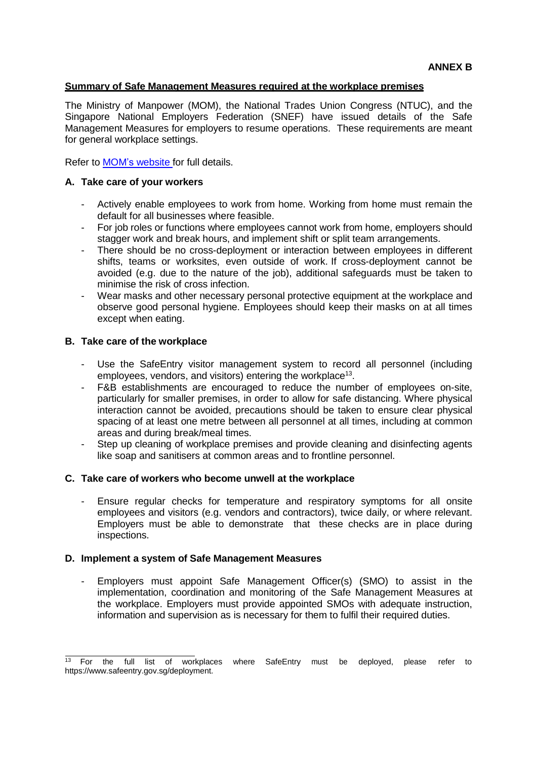### **Summary of Safe Management Measures required at the workplace premises**

The Ministry of Manpower (MOM), the National Trades Union Congress (NTUC), and the Singapore National Employers Federation (SNEF) have issued details of the Safe Management Measures for employers to resume operations. These requirements are meant for general workplace settings.

Refer to MOM's [website](https://www.mom.gov.sg/covid-19/requirements-for-safe-management-measures) for full details.

### **A. Take care of your workers**

- Actively enable employees to work from home. Working from home must remain the default for all businesses where feasible.
- For job roles or functions where employees cannot work from home, employers should stagger work and break hours, and implement shift or split team arrangements.
- There should be no cross-deployment or interaction between employees in different shifts, teams or worksites, even outside of work. If cross-deployment cannot be avoided (e.g. due to the nature of the job), additional safeguards must be taken to minimise the risk of cross infection.
- Wear masks and other necessary personal protective equipment at the workplace and observe good personal hygiene. Employees should keep their masks on at all times except when eating.

### **B. Take care of the workplace**

- Use the SafeEntry visitor management system to record all personnel (including employees, vendors, and visitors) entering the workplace<sup>13</sup>.
- F&B establishments are encouraged to reduce the number of employees on-site, particularly for smaller premises, in order to allow for safe distancing. Where physical interaction cannot be avoided, precautions should be taken to ensure clear physical spacing of at least one metre between all personnel at all times, including at common areas and during break/meal times.
- Step up cleaning of workplace premises and provide cleaning and disinfecting agents like soap and sanitisers at common areas and to frontline personnel.

#### **C. Take care of workers who become unwell at the workplace**

Ensure regular checks for temperature and respiratory symptoms for all onsite employees and visitors (e.g. vendors and contractors), twice daily, or where relevant. Employers must be able to demonstrate that these checks are in place during inspections.

#### **D. Implement a system of Safe Management Measures**

- Employers must appoint Safe Management Officer(s) (SMO) to assist in the implementation, coordination and monitoring of the Safe Management Measures at the workplace. Employers must provide appointed SMOs with adequate instruction, information and supervision as is necessary for them to fulfil their required duties.

 $13$  For the full list of workplaces where SafeEntry must be deployed, please refer to http[s://www.safeentry.gov.sg/deployment.](http://www.safeentry.gov.sg/deployment)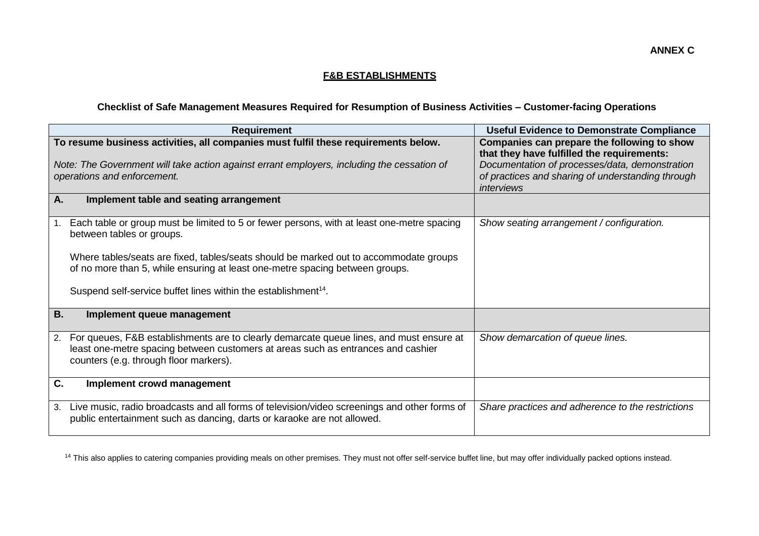# **F&B ESTABLISHMENTS**

# **Checklist of Safe Management Measures Required for Resumption of Business Activities – Customer-facing Operations**

| <b>Requirement</b>                                                                                                                                                                                                       | <b>Useful Evidence to Demonstrate Compliance</b>                                                                                            |
|--------------------------------------------------------------------------------------------------------------------------------------------------------------------------------------------------------------------------|---------------------------------------------------------------------------------------------------------------------------------------------|
| To resume business activities, all companies must fulfil these requirements below.<br>Note: The Government will take action against errant employers, including the cessation of                                         | Companies can prepare the following to show<br>that they have fulfilled the requirements:<br>Documentation of processes/data, demonstration |
| operations and enforcement.                                                                                                                                                                                              | of practices and sharing of understanding through<br>interviews                                                                             |
| A.<br>Implement table and seating arrangement                                                                                                                                                                            |                                                                                                                                             |
| Each table or group must be limited to 5 or fewer persons, with at least one-metre spacing<br>1.<br>between tables or groups.                                                                                            | Show seating arrangement / configuration.                                                                                                   |
| Where tables/seats are fixed, tables/seats should be marked out to accommodate groups<br>of no more than 5, while ensuring at least one-metre spacing between groups.                                                    |                                                                                                                                             |
| Suspend self-service buffet lines within the establishment <sup>14</sup> .                                                                                                                                               |                                                                                                                                             |
| <b>B.</b><br>Implement queue management                                                                                                                                                                                  |                                                                                                                                             |
| 2. For queues, F&B establishments are to clearly demarcate queue lines, and must ensure at<br>least one-metre spacing between customers at areas such as entrances and cashier<br>counters (e.g. through floor markers). | Show demarcation of queue lines.                                                                                                            |
| C.<br>Implement crowd management                                                                                                                                                                                         |                                                                                                                                             |
| Live music, radio broadcasts and all forms of television/video screenings and other forms of<br>3.<br>public entertainment such as dancing, darts or karaoke are not allowed.                                            | Share practices and adherence to the restrictions                                                                                           |

<sup>14</sup> This also applies to catering companies providing meals on other premises. They must not offer self-service buffet line, but may offer individually packed options instead.